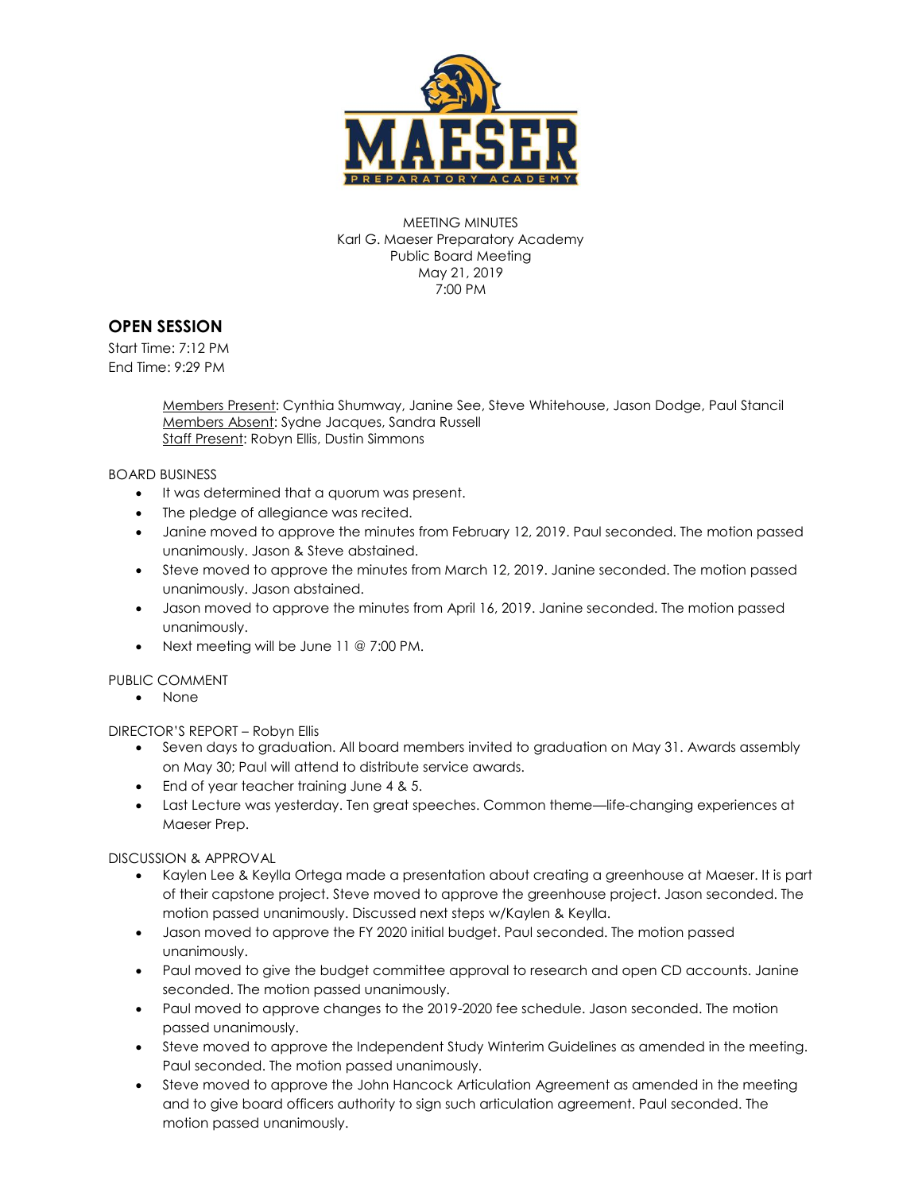

MEETING MINUTES Karl G. Maeser Preparatory Academy Public Board Meeting May 21, 2019 7:00 PM

## **OPEN SESSION**

Start Time: 7:12 PM End Time: 9:29 PM

> Members Present: Cynthia Shumway, Janine See, Steve Whitehouse, Jason Dodge, Paul Stancil Members Absent: Sydne Jacques, Sandra Russell Staff Present: Robyn Ellis, Dustin Simmons

BOARD BUSINESS

- $\bullet$  It was determined that a quorum was present.
- The pledge of allegiance was recited.
- Janine moved to approve the minutes from February 12, 2019. Paul seconded. The motion passed unanimously. Jason & Steve abstained.
- Steve moved to approve the minutes from March 12, 2019. Janine seconded. The motion passed unanimously. Jason abstained.
- Jason moved to approve the minutes from April 16, 2019. Janine seconded. The motion passed unanimously.
- Next meeting will be June 11 @ 7:00 PM.

## PUBLIC COMMENT

• None

DIRECTOR'S REPORT – Robyn Ellis

- Seven days to graduation. All board members invited to graduation on May 31. Awards assembly on May 30; Paul will attend to distribute service awards.
- End of year teacher training June 4 & 5.
- Last Lecture was yesterday. Ten great speeches. Common theme—life-changing experiences at Maeser Prep.

DISCUSSION & APPROVAL

- Kaylen Lee & Keylla Ortega made a presentation about creating a greenhouse at Maeser. It is part of their capstone project. Steve moved to approve the greenhouse project. Jason seconded. The motion passed unanimously. Discussed next steps w/Kaylen & Keylla.
- Jason moved to approve the FY 2020 initial budget. Paul seconded. The motion passed unanimously.
- Paul moved to give the budget committee approval to research and open CD accounts. Janine seconded. The motion passed unanimously.
- Paul moved to approve changes to the 2019-2020 fee schedule. Jason seconded. The motion passed unanimously.
- Steve moved to approve the Independent Study Winterim Guidelines as amended in the meeting. Paul seconded. The motion passed unanimously.
- Steve moved to approve the John Hancock Articulation Agreement as amended in the meeting and to give board officers authority to sign such articulation agreement. Paul seconded. The motion passed unanimously.